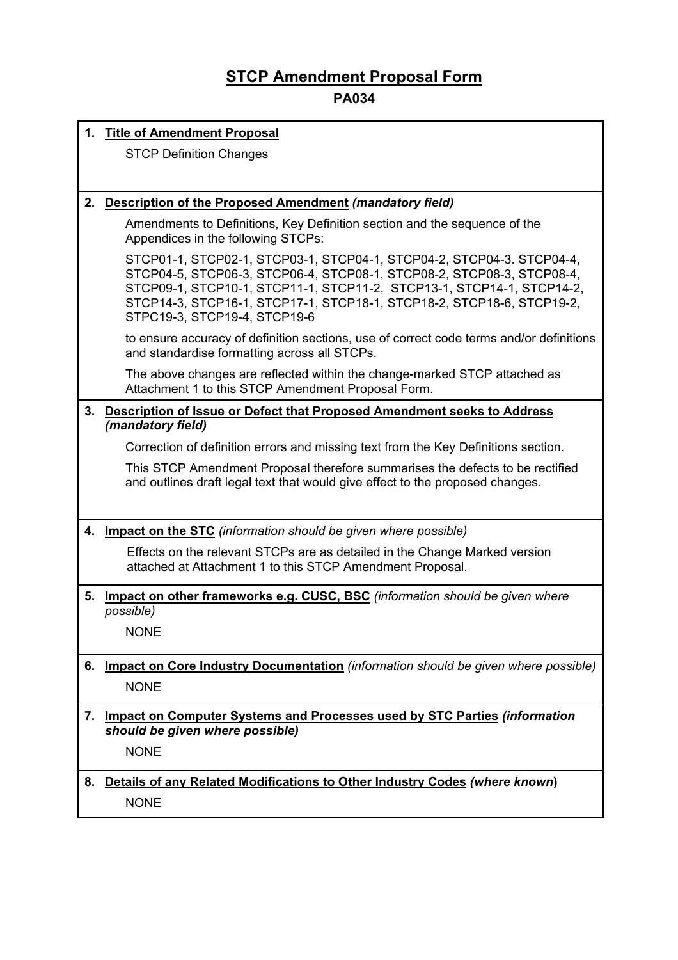## **STCP Amendment Proposal Form**

## **PA034**

|    | 1. Title of Amendment Proposal                                                                                                                                                                                                                                                                                                   |  |
|----|----------------------------------------------------------------------------------------------------------------------------------------------------------------------------------------------------------------------------------------------------------------------------------------------------------------------------------|--|
|    | <b>STCP Definition Changes</b>                                                                                                                                                                                                                                                                                                   |  |
|    |                                                                                                                                                                                                                                                                                                                                  |  |
| 2. | <b>Description of the Proposed Amendment (mandatory field)</b>                                                                                                                                                                                                                                                                   |  |
|    | Amendments to Definitions, Key Definition section and the sequence of the<br>Appendices in the following STCPs:                                                                                                                                                                                                                  |  |
|    | STCP01-1, STCP02-1, STCP03-1, STCP04-1, STCP04-2, STCP04-3. STCP04-4,<br>STCP04-5, STCP06-3, STCP06-4, STCP08-1, STCP08-2, STCP08-3, STCP08-4,<br>STCP09-1, STCP10-1, STCP11-1, STCP11-2, STCP13-1, STCP14-1, STCP14-2,<br>STCP14-3, STCP16-1, STCP17-1, STCP18-1, STCP18-2, STCP18-6, STCP19-2,<br>STPC19-3, STCP19-4, STCP19-6 |  |
|    | to ensure accuracy of definition sections, use of correct code terms and/or definitions<br>and standardise formatting across all STCPs.                                                                                                                                                                                          |  |
|    | The above changes are reflected within the change-marked STCP attached as<br>Attachment 1 to this STCP Amendment Proposal Form.                                                                                                                                                                                                  |  |
| 3. | Description of Issue or Defect that Proposed Amendment seeks to Address                                                                                                                                                                                                                                                          |  |
|    | (mandatory field)                                                                                                                                                                                                                                                                                                                |  |
|    | Correction of definition errors and missing text from the Key Definitions section.                                                                                                                                                                                                                                               |  |
|    | This STCP Amendment Proposal therefore summarises the defects to be rectified<br>and outlines draft legal text that would give effect to the proposed changes.                                                                                                                                                                   |  |
|    | 4. Impact on the STC (information should be given where possible)                                                                                                                                                                                                                                                                |  |
|    | Effects on the relevant STCPs are as detailed in the Change Marked version<br>attached at Attachment 1 to this STCP Amendment Proposal.                                                                                                                                                                                          |  |
| 5. | Impact on other frameworks e.g. CUSC, BSC (information should be given where<br>possible)                                                                                                                                                                                                                                        |  |
|    | <b>NONE</b>                                                                                                                                                                                                                                                                                                                      |  |
| 6. | Impact on Core Industry Documentation (information should be given where possible)                                                                                                                                                                                                                                               |  |
|    | <b>NONE</b>                                                                                                                                                                                                                                                                                                                      |  |
| 7. | <b>Impact on Computer Systems and Processes used by STC Parties (information</b><br>should be given where possible)                                                                                                                                                                                                              |  |
|    | <b>NONE</b>                                                                                                                                                                                                                                                                                                                      |  |
| 8. | Details of any Related Modifications to Other Industry Codes (where known)                                                                                                                                                                                                                                                       |  |
|    | <b>NONE</b>                                                                                                                                                                                                                                                                                                                      |  |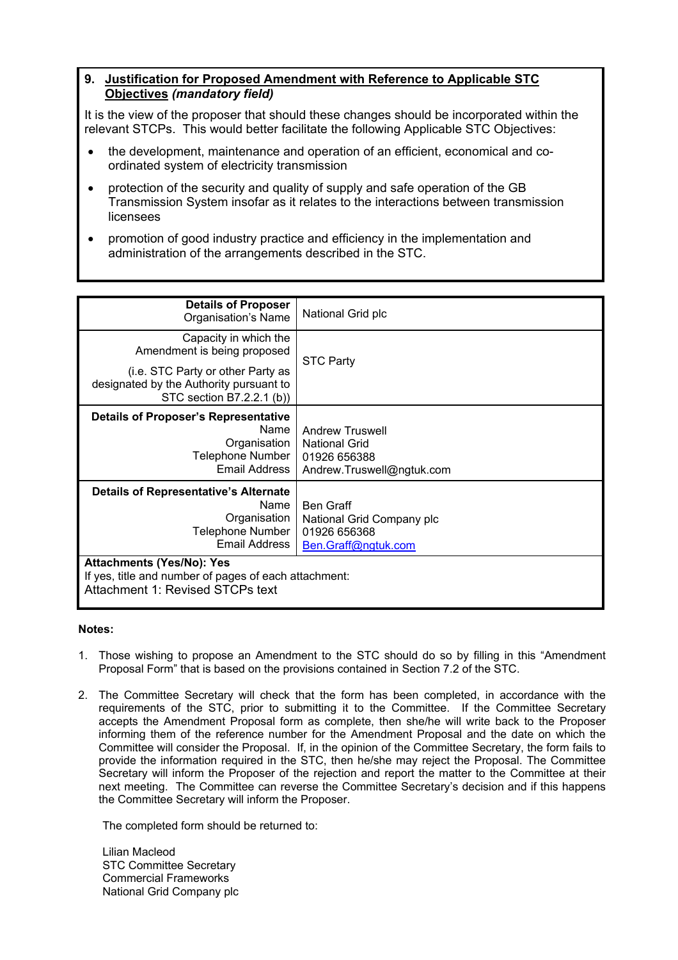## **9. Justification for Proposed Amendment with Reference to Applicable STC Objectives** *(mandatory field)*

It is the view of the proposer that should these changes should be incorporated within the relevant STCPs. This would better facilitate the following Applicable STC Objectives:

- the development, maintenance and operation of an efficient, economical and coordinated system of electricity transmission
- protection of the security and quality of supply and safe operation of the GB Transmission System insofar as it relates to the interactions between transmission licensees
- promotion of good industry practice and efficiency in the implementation and administration of the arrangements described in the STC.

| <b>Details of Proposer</b><br>Organisation's Name                                                                             | National Grid plc                                                                           |  |
|-------------------------------------------------------------------------------------------------------------------------------|---------------------------------------------------------------------------------------------|--|
| Capacity in which the<br>Amendment is being proposed                                                                          | <b>STC Party</b>                                                                            |  |
| (i.e. STC Party or other Party as<br>designated by the Authority pursuant to<br>STC section B7.2.2.1 (b))                     |                                                                                             |  |
| <b>Details of Proposer's Representative</b><br>Name<br>Organisation<br>Telephone Number<br>Email Address                      | <b>Andrew Truswell</b><br><b>National Grid</b><br>01926 656388<br>Andrew.Truswell@ngtuk.com |  |
| <b>Details of Representative's Alternate</b><br>Name<br>Organisation<br>Telephone Number<br>Email Address                     | <b>Ben Graff</b><br>National Grid Company plc<br>01926 656368<br>Ben.Graff@ngtuk.com        |  |
| <b>Attachments (Yes/No): Yes</b><br>If yes, title and number of pages of each attachment:<br>Attachment 1: Revised STCPs text |                                                                                             |  |

## **Notes:**

- 1. Those wishing to propose an Amendment to the STC should do so by filling in this "Amendment Proposal Form" that is based on the provisions contained in Section 7.2 of the STC.
- 2. The Committee Secretary will check that the form has been completed, in accordance with the requirements of the STC, prior to submitting it to the Committee. If the Committee Secretary accepts the Amendment Proposal form as complete, then she/he will write back to the Proposer informing them of the reference number for the Amendment Proposal and the date on which the Committee will consider the Proposal. If, in the opinion of the Committee Secretary, the form fails to provide the information required in the STC, then he/she may reject the Proposal. The Committee Secretary will inform the Proposer of the rejection and report the matter to the Committee at their next meeting. The Committee can reverse the Committee Secretary's decision and if this happens the Committee Secretary will inform the Proposer.

The completed form should be returned to:

Lilian Macleod STC Committee Secretary Commercial Frameworks National Grid Company plc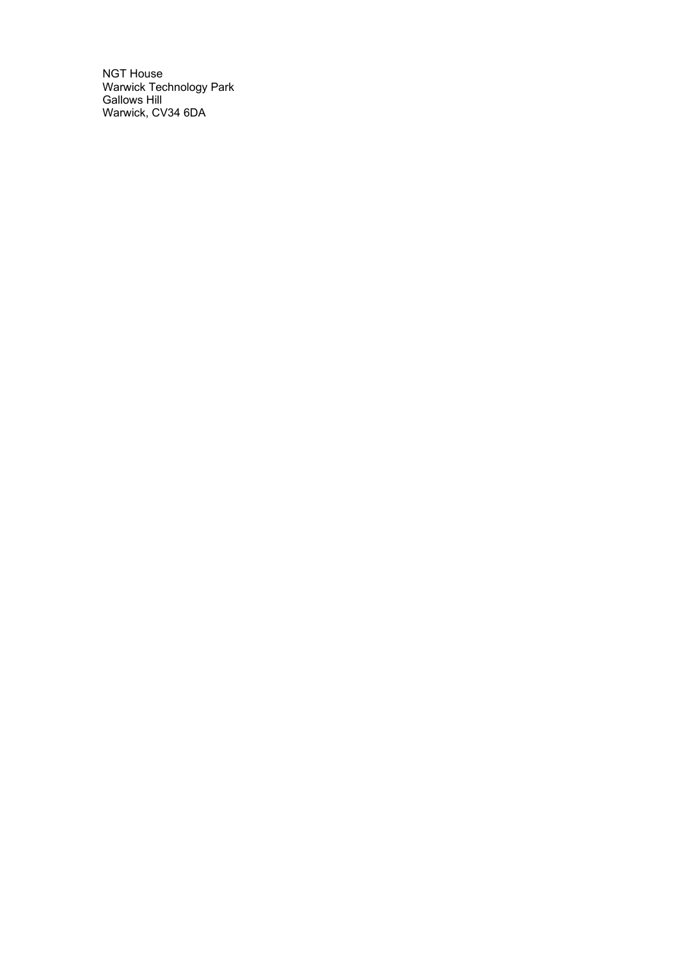NGT House Warwick Technology Park Gallows Hill Warwick, CV34 6DA